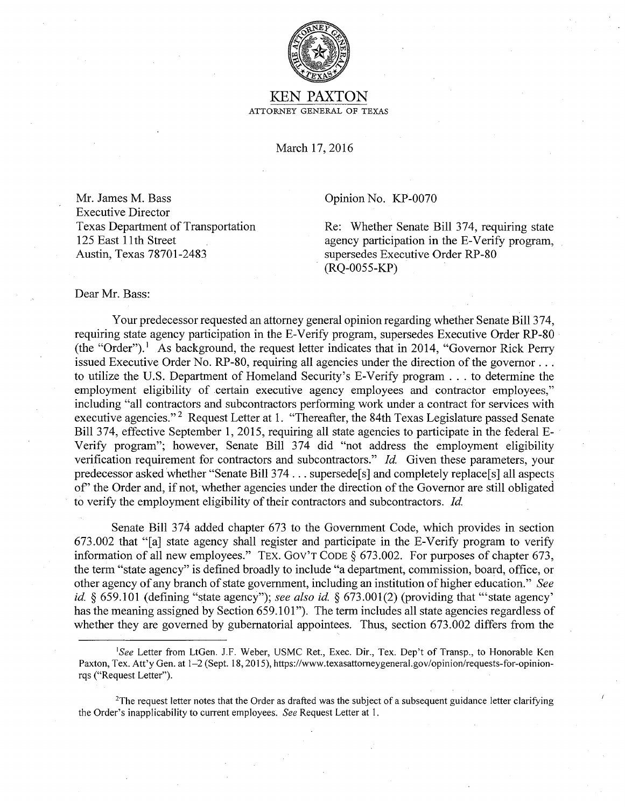

## KEN PAXTON ATTORNEY GENERAL OF TEXAS

March 17, 2016

Mr. James M. Bass Executive Director Texas Department of Transportation 125 East 11th Street Austin, Texas 78701-2483

Opinion No. KP-0070

Re: Whether Senate Bill 374, requiring state agency participation in the E-Verify program, supersedes Executive Order RP-80 (RQ-0055-KP)

Dear Mr. Bass:

Your predecessor requested an attorney general opinion regarding whether Senate Bill 374, requiring state agency participation in the E-Verify program, supersedes Executive Order RP-80 (the "Order").<sup>1</sup> As background, the request letter indicates that in 2014, "Governor Rick Perry issued Executive Order No. RP-80, requiring all agencies under the direction of the governor ... to utilize the U.S. Department of Homeland Security's E-Verify program ... to determine the employment eligibility of certain executive agency employees and contractor employees," including "all contractors and subcontractors performing work under a contract for services with executive agencies."<sup>2</sup> Request Letter at 1. "Thereafter, the 84th Texas Legislature passed Senate Bill 374, effective September 1, 2015, requiring all state agencies to participate in the federal E-Verify program"; however, Senate Bill 374 did "not address the employment eligibility verification requirement for contractors and subcontractors." *Id.* Given these parameters, your predecessor asked whether "Senate Bill 374 ... supersede[s] and completely replace[s] all aspects of' the Order and, if not, whether agencies under the direction of the Governor are still obligated to verify the employment eligibility of their contractors and subcontractors. *Id.* 

Senate Bill 374 added chapter 673 to the Government Code, which provides in section 673.002 that "[a] state agency shall register and participate in the E-Verify program to verify information of all new employees.'' TEX. Gov'T CODE§ 673.002. For purposes of chapter 673, the term "state agency" is defined broadly to include "a department, commission, board, office, or other agency of any branch of state government, including an institution of higher education." *See id.* § 659.101 (defining "state agency"); *see also id.* § 673.001(2) (providing that "'state agency' has the meaning assigned by Section 659.101"). The term includes all state agencies regardless of whether they are governed by gubernatorial appointees. Thus, section 673.002 differs from the

*<sup>&#</sup>x27;See* Letter from LtGen. J.F. Weber, USMC Ret., Exec. Dir., Tex. Dep't of Transp., to Honorable Ken Paxton, Tex. Att'y Gen. at 1-2 (Sept. 18, 2015), https://www.texasattorneygeneral.gov/opinion/requests-for-opinionrqs ("Request Letter").

<sup>&</sup>lt;sup>2</sup>The request letter notes that the Order as drafted was the subject of a subsequent guidance letter clarifying the Order's inapplicability to current employees. *See* Request Letter at I.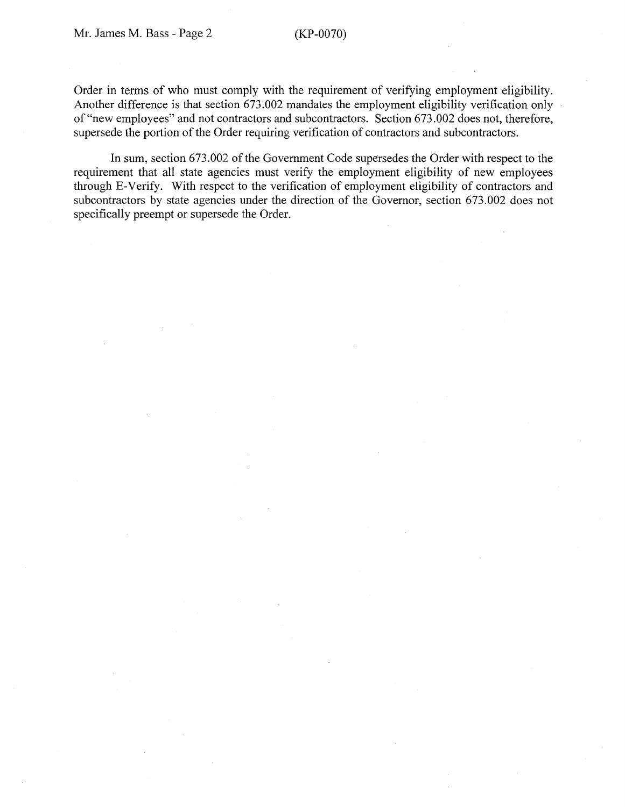Order in terms of who must comply with the requirement of verifying employment eligibility. Another difference is that section 673.002 mandates the employment eligibility verification only of"new employees" and not contractors and subcontractors. Section 673.002 does not, therefore, supersede the portion of the Order requiring verification of contractors and subcontractors.

In sum, section 673.002 of the Government Code supersedes the Order with respect to the requirement that all state agencies must verify the employment eligibility of new employees through E-Verify. With respect to the verification of employment eligibility of contractors and subcontractors by state agencies under the direction of the Governor, section 673.002 does not specifically preempt or supersede the Order.